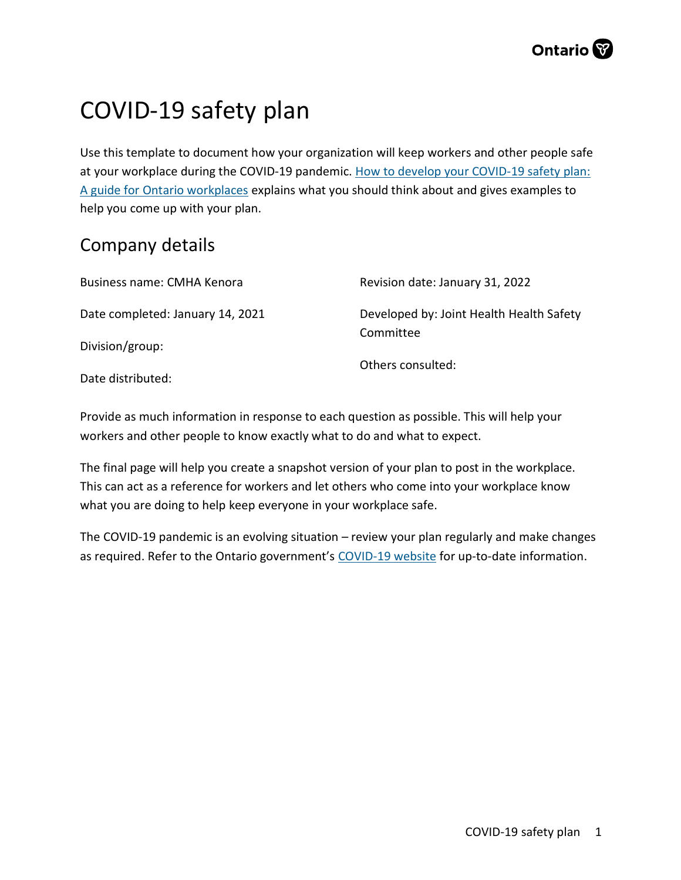# COVID-19 safety plan

Use this template to document how your organization will keep workers and other people safe at your workplace during the COVID-19 pandemic. How to develop your COVID-19 safety plan: A guide for Ontario workplaces explains what you should think about and gives examples to help you come up with your plan.

### Company details

| Business name: CMHA Kenora       | Revision date: January 31, 2022          |
|----------------------------------|------------------------------------------|
| Date completed: January 14, 2021 | Developed by: Joint Health Health Safety |
| Division/group:                  | Committee                                |
| Date distributed:                | Others consulted:                        |

Provide as much information in response to each question as possible. This will help your workers and other people to know exactly what to do and what to expect.

The final page will help you create a snapshot version of your plan to post in the workplace. This can act as a reference for workers and let others who come into your workplace know what you are doing to help keep everyone in your workplace safe.

The COVID-19 pandemic is an evolving situation – review your plan regularly and make changes as required. Refer to the Ontario government's COVID-19 website for up-to-date information.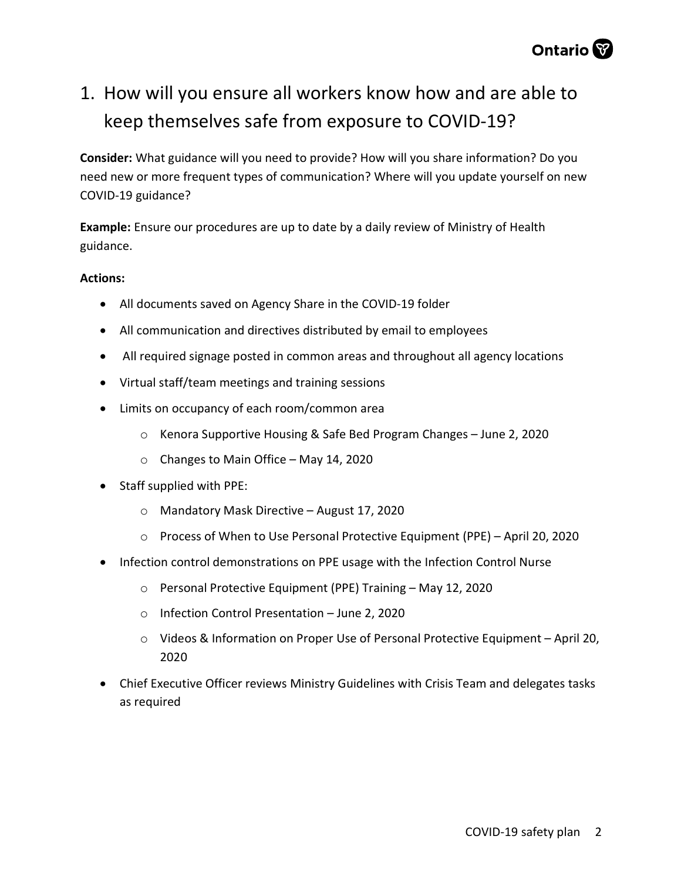

# 1. How will you ensure all workers know how and are able to keep themselves safe from exposure to COVID-19?

Consider: What guidance will you need to provide? How will you share information? Do you need new or more frequent types of communication? Where will you update yourself on new COVID-19 guidance?

Example: Ensure our procedures are up to date by a daily review of Ministry of Health guidance.

- All documents saved on Agency Share in the COVID-19 folder
- All communication and directives distributed by email to employees
- All required signage posted in common areas and throughout all agency locations
- Virtual staff/team meetings and training sessions
- Limits on occupancy of each room/common area
	- o Kenora Supportive Housing & Safe Bed Program Changes June 2, 2020
	- o Changes to Main Office May 14, 2020
- Staff supplied with PPE:
	- o Mandatory Mask Directive August 17, 2020
	- o Process of When to Use Personal Protective Equipment (PPE) April 20, 2020
- Infection control demonstrations on PPE usage with the Infection Control Nurse
	- o Personal Protective Equipment (PPE) Training May 12, 2020
	- o Infection Control Presentation June 2, 2020
	- o Videos & Information on Proper Use of Personal Protective Equipment April 20, 2020
- Chief Executive Officer reviews Ministry Guidelines with Crisis Team and delegates tasks as required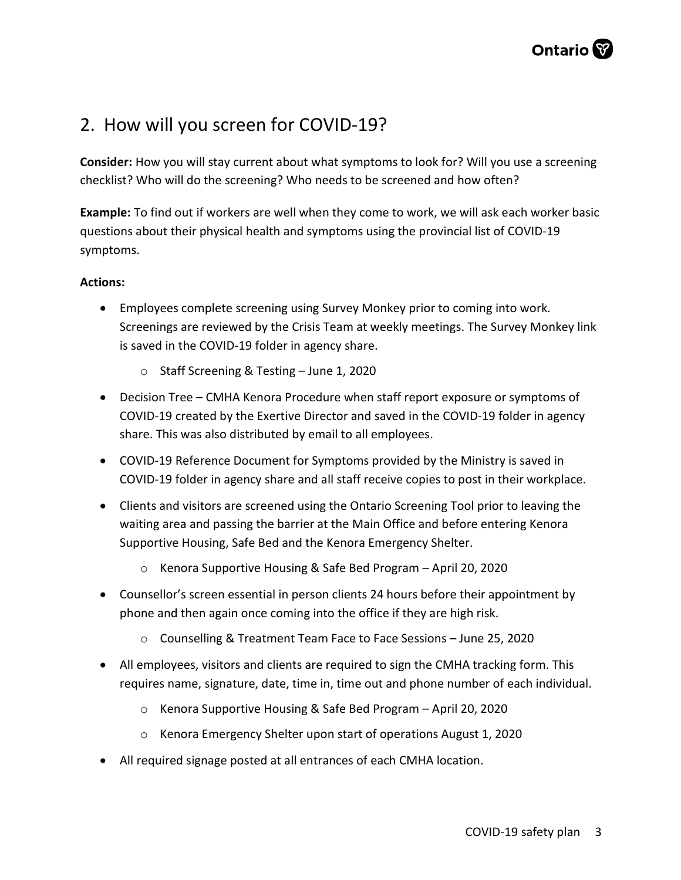### 2. How will you screen for COVID-19?

Consider: How you will stay current about what symptoms to look for? Will you use a screening checklist? Who will do the screening? Who needs to be screened and how often?

Example: To find out if workers are well when they come to work, we will ask each worker basic questions about their physical health and symptoms using the provincial list of COVID-19 symptoms.

- Employees complete screening using Survey Monkey prior to coming into work. Screenings are reviewed by the Crisis Team at weekly meetings. The Survey Monkey link is saved in the COVID-19 folder in agency share.
	- o Staff Screening & Testing June 1, 2020
- Decision Tree CMHA Kenora Procedure when staff report exposure or symptoms of COVID-19 created by the Exertive Director and saved in the COVID-19 folder in agency share. This was also distributed by email to all employees.
- COVID-19 Reference Document for Symptoms provided by the Ministry is saved in COVID-19 folder in agency share and all staff receive copies to post in their workplace.
- Clients and visitors are screened using the Ontario Screening Tool prior to leaving the waiting area and passing the barrier at the Main Office and before entering Kenora Supportive Housing, Safe Bed and the Kenora Emergency Shelter.
	- o Kenora Supportive Housing & Safe Bed Program April 20, 2020
- Counsellor's screen essential in person clients 24 hours before their appointment by phone and then again once coming into the office if they are high risk.
	- o Counselling & Treatment Team Face to Face Sessions June 25, 2020
- All employees, visitors and clients are required to sign the CMHA tracking form. This requires name, signature, date, time in, time out and phone number of each individual.
	- o Kenora Supportive Housing & Safe Bed Program April 20, 2020
	- o Kenora Emergency Shelter upon start of operations August 1, 2020
- All required signage posted at all entrances of each CMHA location.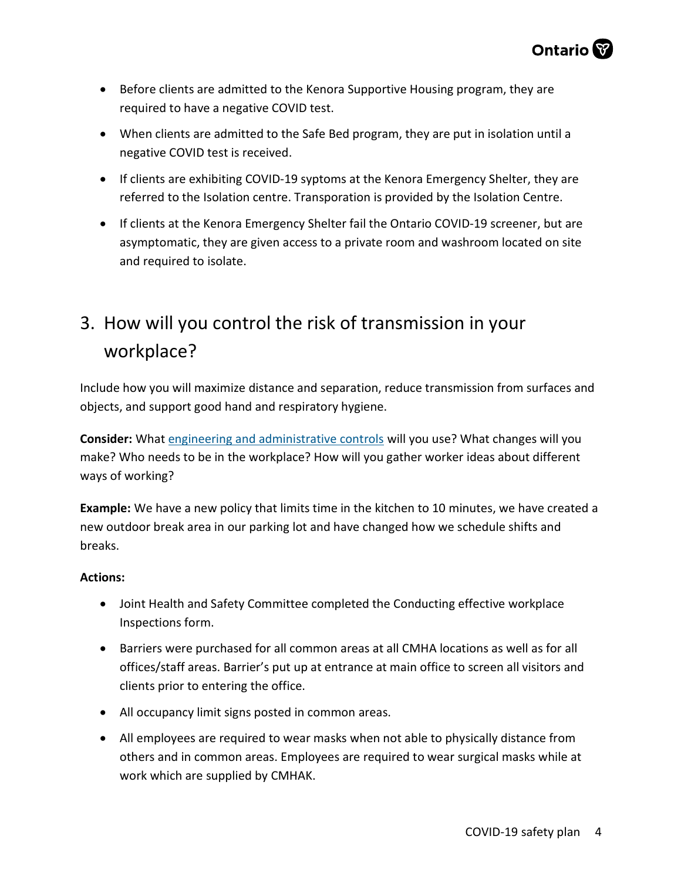

- Before clients are admitted to the Kenora Supportive Housing program, they are required to have a negative COVID test.
- When clients are admitted to the Safe Bed program, they are put in isolation until a negative COVID test is received.
- If clients are exhibiting COVID-19 syptoms at the Kenora Emergency Shelter, they are referred to the Isolation centre. Transporation is provided by the Isolation Centre.
- If clients at the Kenora Emergency Shelter fail the Ontario COVID-19 screener, but are asymptomatic, they are given access to a private room and washroom located on site and required to isolate.

# 3. How will you control the risk of transmission in your workplace?

Include how you will maximize distance and separation, reduce transmission from surfaces and objects, and support good hand and respiratory hygiene.

Consider: What engineering and administrative controls will you use? What changes will you make? Who needs to be in the workplace? How will you gather worker ideas about different ways of working?

Example: We have a new policy that limits time in the kitchen to 10 minutes, we have created a new outdoor break area in our parking lot and have changed how we schedule shifts and breaks.

- Joint Health and Safety Committee completed the Conducting effective workplace Inspections form.
- Barriers were purchased for all common areas at all CMHA locations as well as for all offices/staff areas. Barrier's put up at entrance at main office to screen all visitors and clients prior to entering the office.
- All occupancy limit signs posted in common areas.
- All employees are required to wear masks when not able to physically distance from others and in common areas. Employees are required to wear surgical masks while at work which are supplied by CMHAK.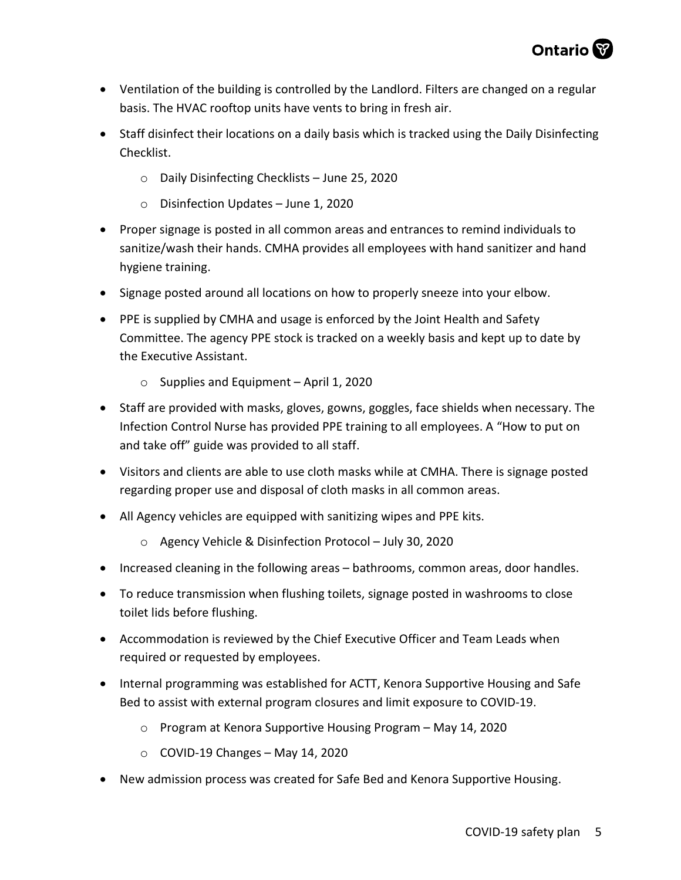- Ventilation of the building is controlled by the Landlord. Filters are changed on a regular basis. The HVAC rooftop units have vents to bring in fresh air.
- Staff disinfect their locations on a daily basis which is tracked using the Daily Disinfecting Checklist.
	- o Daily Disinfecting Checklists June 25, 2020
	- o Disinfection Updates June 1, 2020
- Proper signage is posted in all common areas and entrances to remind individuals to sanitize/wash their hands. CMHA provides all employees with hand sanitizer and hand hygiene training.
- Signage posted around all locations on how to properly sneeze into your elbow.
- PPE is supplied by CMHA and usage is enforced by the Joint Health and Safety Committee. The agency PPE stock is tracked on a weekly basis and kept up to date by the Executive Assistant.
	- $\circ$  Supplies and Equipment April 1, 2020
- Staff are provided with masks, gloves, gowns, goggles, face shields when necessary. The Infection Control Nurse has provided PPE training to all employees. A "How to put on and take off" guide was provided to all staff.
- Visitors and clients are able to use cloth masks while at CMHA. There is signage posted regarding proper use and disposal of cloth masks in all common areas.
- All Agency vehicles are equipped with sanitizing wipes and PPE kits.
	- o Agency Vehicle & Disinfection Protocol July 30, 2020
- Increased cleaning in the following areas bathrooms, common areas, door handles.
- To reduce transmission when flushing toilets, signage posted in washrooms to close toilet lids before flushing.
- Accommodation is reviewed by the Chief Executive Officer and Team Leads when required or requested by employees.
- Internal programming was established for ACTT, Kenora Supportive Housing and Safe Bed to assist with external program closures and limit exposure to COVID-19.
	- o Program at Kenora Supportive Housing Program May 14, 2020
	- $\circ$  COVID-19 Changes May 14, 2020
- New admission process was created for Safe Bed and Kenora Supportive Housing.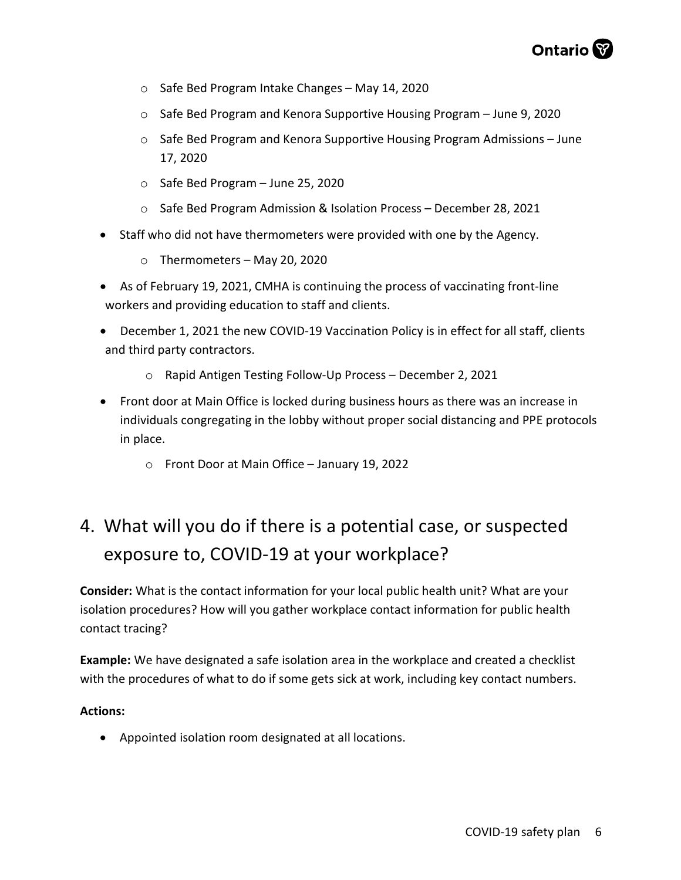- o Safe Bed Program Intake Changes May 14, 2020
- o Safe Bed Program and Kenora Supportive Housing Program June 9, 2020
- o Safe Bed Program and Kenora Supportive Housing Program Admissions June 17, 2020
- o Safe Bed Program June 25, 2020
- o Safe Bed Program Admission & Isolation Process December 28, 2021
- Staff who did not have thermometers were provided with one by the Agency.
	- $\circ$  Thermometers May 20, 2020
- As of February 19, 2021, CMHA is continuing the process of vaccinating front-line workers and providing education to staff and clients.
- December 1, 2021 the new COVID-19 Vaccination Policy is in effect for all staff, clients and third party contractors.
	- o Rapid Antigen Testing Follow-Up Process December 2, 2021
- Front door at Main Office is locked during business hours as there was an increase in individuals congregating in the lobby without proper social distancing and PPE protocols in place.
	- o Front Door at Main Office January 19, 2022

# 4. What will you do if there is a potential case, or suspected exposure to, COVID-19 at your workplace?

Consider: What is the contact information for your local public health unit? What are your isolation procedures? How will you gather workplace contact information for public health contact tracing?

Example: We have designated a safe isolation area in the workplace and created a checklist with the procedures of what to do if some gets sick at work, including key contact numbers.

#### Actions:

Appointed isolation room designated at all locations.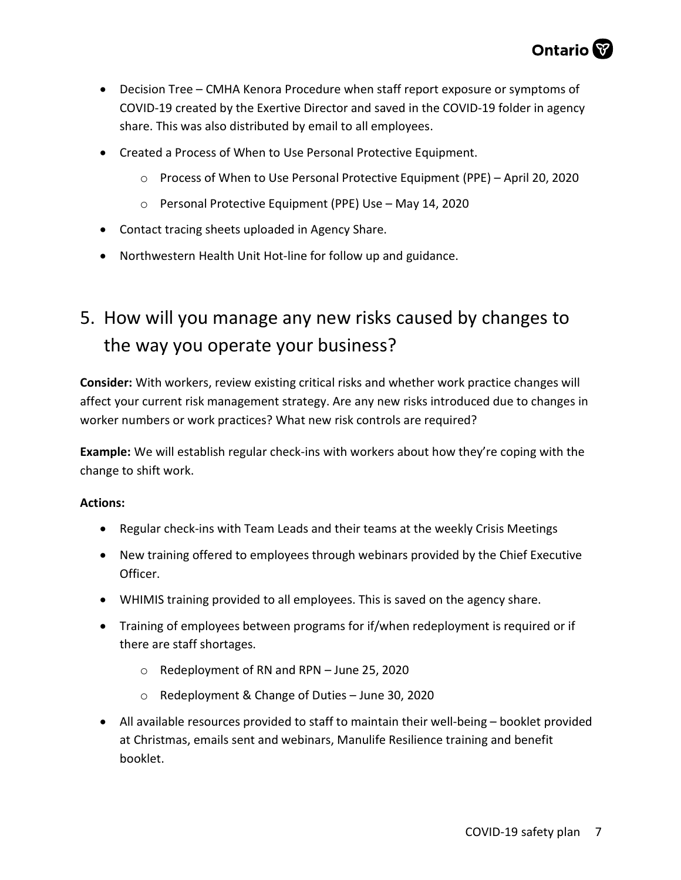- Decision Tree CMHA Kenora Procedure when staff report exposure or symptoms of COVID-19 created by the Exertive Director and saved in the COVID-19 folder in agency share. This was also distributed by email to all employees.
- Created a Process of When to Use Personal Protective Equipment.
	- o Process of When to Use Personal Protective Equipment (PPE) April 20, 2020
	- o Personal Protective Equipment (PPE) Use May 14, 2020
- Contact tracing sheets uploaded in Agency Share.
- Northwestern Health Unit Hot-line for follow up and guidance.

## 5. How will you manage any new risks caused by changes to the way you operate your business?

Consider: With workers, review existing critical risks and whether work practice changes will affect your current risk management strategy. Are any new risks introduced due to changes in worker numbers or work practices? What new risk controls are required?

Example: We will establish regular check-ins with workers about how they're coping with the change to shift work.

- Regular check-ins with Team Leads and their teams at the weekly Crisis Meetings
- New training offered to employees through webinars provided by the Chief Executive Officer.
- WHIMIS training provided to all employees. This is saved on the agency share.
- Training of employees between programs for if/when redeployment is required or if there are staff shortages.
	- o Redeployment of RN and RPN June 25, 2020
	- o Redeployment & Change of Duties June 30, 2020
- All available resources provided to staff to maintain their well-being booklet provided at Christmas, emails sent and webinars, Manulife Resilience training and benefit booklet.